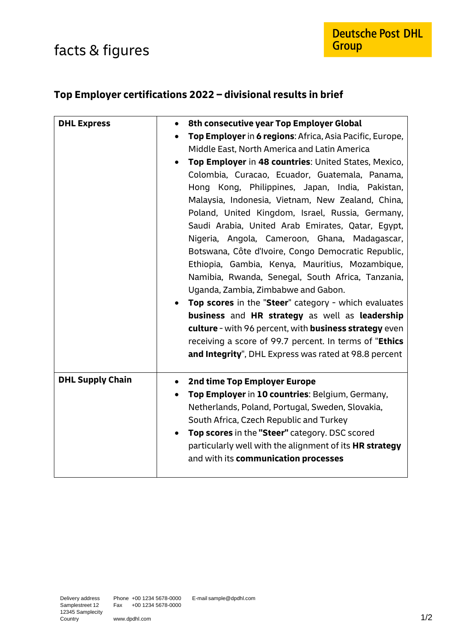## facts & figures

## **Top Employer certifications 2022 – divisional results in brief**

| <b>DHL Express</b>      | 8th consecutive year Top Employer Global<br>$\bullet$    |
|-------------------------|----------------------------------------------------------|
|                         | Top Employer in 6 regions: Africa, Asia Pacific, Europe, |
|                         | Middle East, North America and Latin America             |
|                         | Top Employer in 48 countries: United States, Mexico,     |
|                         |                                                          |
|                         | Colombia, Curacao, Ecuador, Guatemala, Panama,           |
|                         | Hong Kong, Philippines, Japan, India, Pakistan,          |
|                         | Malaysia, Indonesia, Vietnam, New Zealand, China,        |
|                         | Poland, United Kingdom, Israel, Russia, Germany,         |
|                         | Saudi Arabia, United Arab Emirates, Qatar, Egypt,        |
|                         | Nigeria, Angola, Cameroon, Ghana, Madagascar,            |
|                         | Botswana, Côte d'Ivoire, Congo Democratic Republic,      |
|                         | Ethiopia, Gambia, Kenya, Mauritius, Mozambique,          |
|                         | Namibia, Rwanda, Senegal, South Africa, Tanzania,        |
|                         | Uganda, Zambia, Zimbabwe and Gabon.                      |
|                         | Top scores in the "Steer" category - which evaluates     |
|                         | business and HR strategy as well as leadership           |
|                         | culture - with 96 percent, with business strategy even   |
|                         | receiving a score of 99.7 percent. In terms of "Ethics   |
|                         | and Integrity", DHL Express was rated at 98.8 percent    |
|                         |                                                          |
|                         |                                                          |
| <b>DHL Supply Chain</b> | 2nd time Top Employer Europe                             |
|                         | Top Employer in 10 countries: Belgium, Germany,          |
|                         | Netherlands, Poland, Portugal, Sweden, Slovakia,         |
|                         | South Africa, Czech Republic and Turkey                  |
|                         | Top scores in the "Steer" category. DSC scored           |
|                         | particularly well with the alignment of its HR strategy  |
|                         | and with its communication processes                     |
|                         |                                                          |